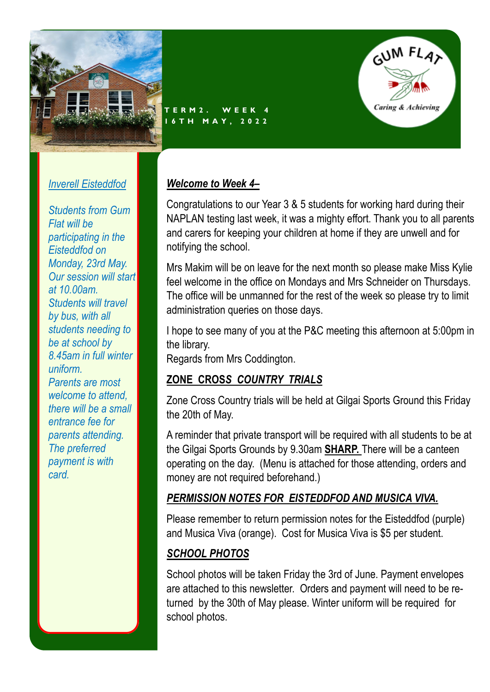

**T E R M 2 . W E E K 4 1 6 T H M A Y , 2 0 2 2**



#### *Inverell Eisteddfod*

*Students from Gum Flat will be participating in the Eisteddfod on Monday, 23rd May. Our session will start at 10.00am. Students will travel by bus, with all students needing to be at school by 8.45am in full winter uniform. Parents are most welcome to attend, there will be a small entrance fee for parents attending. The preferred payment is with card.*

#### *Welcome to Week 4–*

Congratulations to our Year 3 & 5 students for working hard during their NAPLAN testing last week, it was a mighty effort. Thank you to all parents and carers for keeping your children at home if they are unwell and for notifying the school.

Mrs Makim will be on leave for the next month so please make Miss Kylie feel welcome in the office on Mondays and Mrs Schneider on Thursdays. The office will be unmanned for the rest of the week so please try to limit administration queries on those days.

I hope to see many of you at the P&C meeting this afternoon at 5:00pm in the library.

Regards from Mrs Coddington.

# **ZONE CROS***S COUNTRY TRIALS*

Zone Cross Country trials will be held at Gilgai Sports Ground this Friday the 20th of May.

A reminder that private transport will be required with all students to be at the Gilgai Sports Grounds by 9.30am **SHARP.** There will be a canteen operating on the day. (Menu is attached for those attending, orders and money are not required beforehand.)

### *PERMISSION NOTES FOR EISTEDDFOD AND MUSICA VIVA.*

Please remember to return permission notes for the Eisteddfod (purple) and Musica Viva (orange). Cost for Musica Viva is \$5 per student.

# *SCHOOL PHOTOS*

School photos will be taken Friday the 3rd of June. Payment envelopes are attached to this newsletter. Orders and payment will need to be returned by the 30th of May please. Winter uniform will be required for school photos.